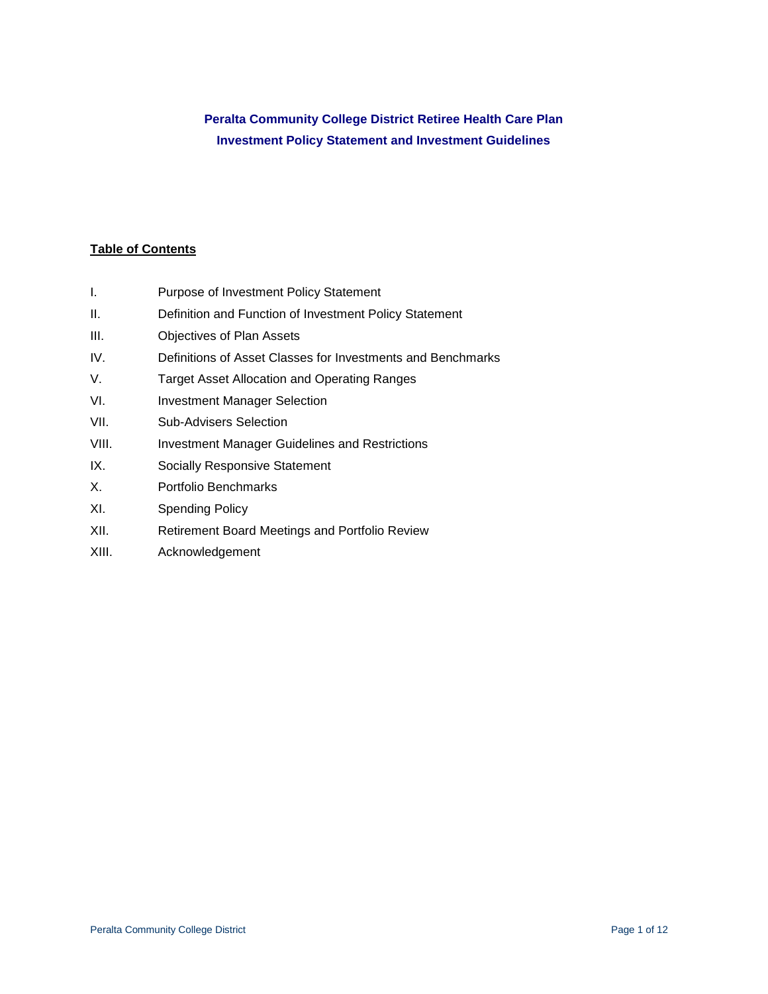# **Peralta Community College District Retiree Health Care Plan Investment Policy Statement and Investment Guidelines**

## **Table of Contents**

- I. Purpose of Investment Policy Statement
- II. Definition and Function of Investment Policy Statement
- III. Objectives of Plan Assets
- IV. Definitions of Asset Classes for Investments and Benchmarks
- V. Target Asset Allocation and Operating Ranges
- VI. Investment Manager Selection
- VII. Sub-Advisers Selection
- VIII. Investment Manager Guidelines and Restrictions
- IX. Socially Responsive Statement
- X. Portfolio Benchmarks
- XI. Spending Policy
- XII. Retirement Board Meetings and Portfolio Review
- XIII. Acknowledgement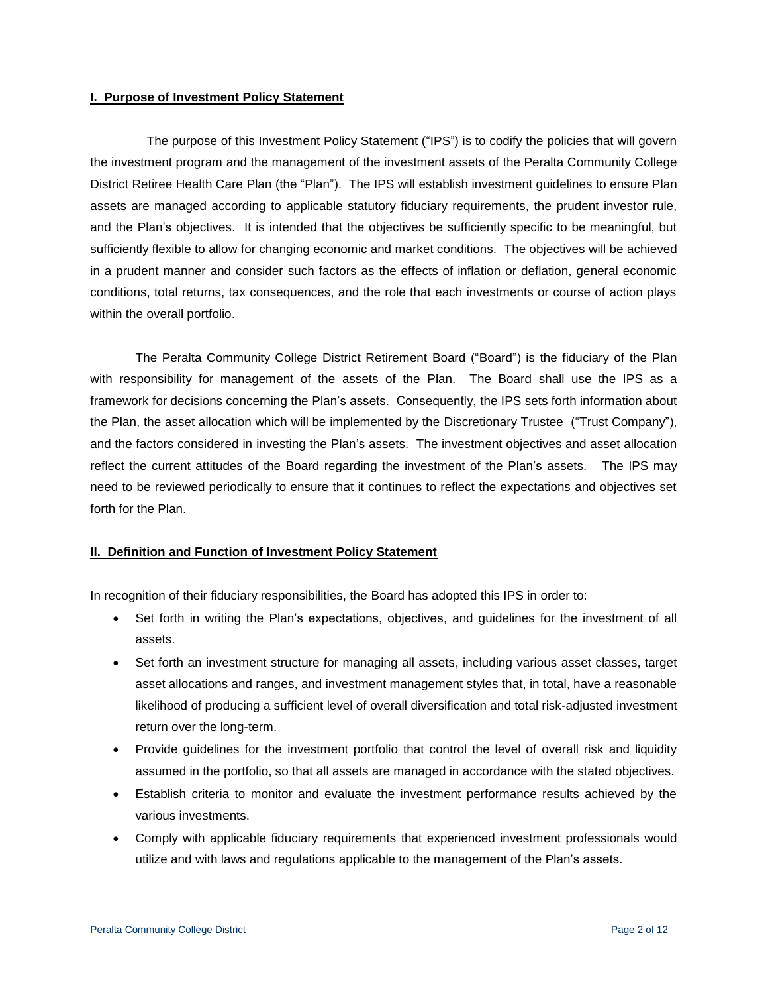#### **I. Purpose of Investment Policy Statement**

The purpose of this Investment Policy Statement ("IPS") is to codify the policies that will govern the investment program and the management of the investment assets of the Peralta Community College District Retiree Health Care Plan (the "Plan"). The IPS will establish investment guidelines to ensure Plan assets are managed according to applicable statutory fiduciary requirements, the prudent investor rule, and the Plan's objectives. It is intended that the objectives be sufficiently specific to be meaningful, but sufficiently flexible to allow for changing economic and market conditions. The objectives will be achieved in a prudent manner and consider such factors as the effects of inflation or deflation, general economic conditions, total returns, tax consequences, and the role that each investments or course of action plays within the overall portfolio.

The Peralta Community College District Retirement Board ("Board") is the fiduciary of the Plan with responsibility for management of the assets of the Plan. The Board shall use the IPS as a framework for decisions concerning the Plan's assets. Consequently, the IPS sets forth information about the Plan, the asset allocation which will be implemented by the Discretionary Trustee ("Trust Company"), and the factors considered in investing the Plan's assets. The investment objectives and asset allocation reflect the current attitudes of the Board regarding the investment of the Plan's assets. The IPS may need to be reviewed periodically to ensure that it continues to reflect the expectations and objectives set forth for the Plan.

#### **II. Definition and Function of Investment Policy Statement**

In recognition of their fiduciary responsibilities, the Board has adopted this IPS in order to:

- Set forth in writing the Plan's expectations, objectives, and guidelines for the investment of all assets.
- Set forth an investment structure for managing all assets, including various asset classes, target asset allocations and ranges, and investment management styles that, in total, have a reasonable likelihood of producing a sufficient level of overall diversification and total risk-adjusted investment return over the long-term.
- Provide guidelines for the investment portfolio that control the level of overall risk and liquidity assumed in the portfolio, so that all assets are managed in accordance with the stated objectives.
- Establish criteria to monitor and evaluate the investment performance results achieved by the various investments.
- Comply with applicable fiduciary requirements that experienced investment professionals would utilize and with laws and regulations applicable to the management of the Plan's assets.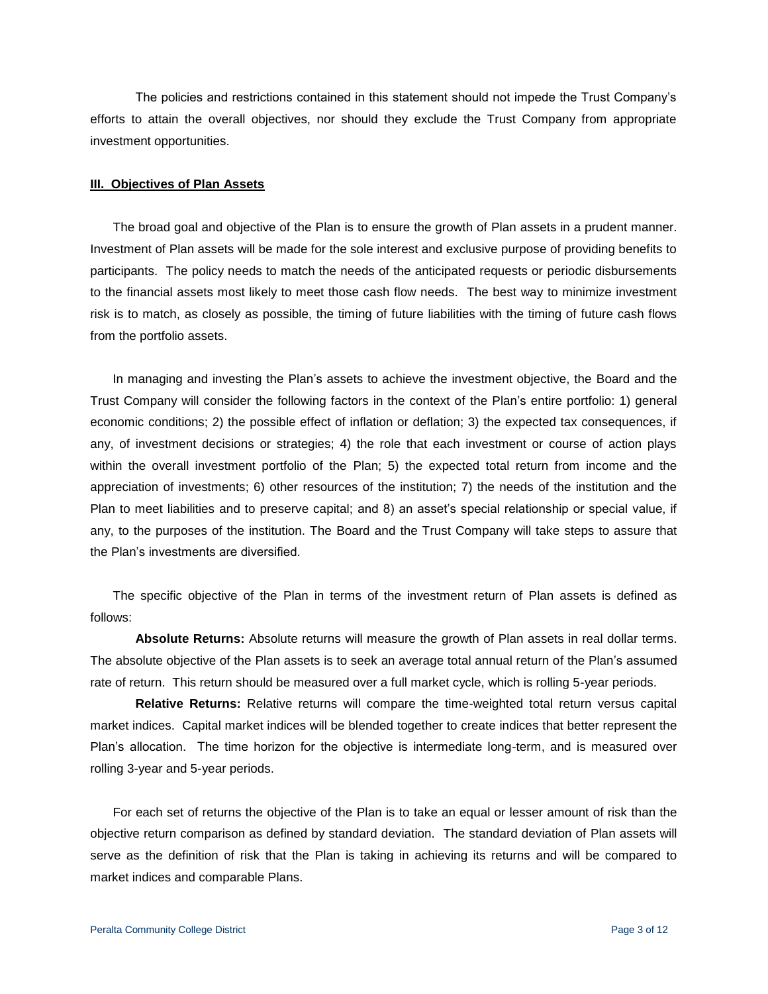The policies and restrictions contained in this statement should not impede the Trust Company's efforts to attain the overall objectives, nor should they exclude the Trust Company from appropriate investment opportunities.

#### **III. Objectives of Plan Assets**

The broad goal and objective of the Plan is to ensure the growth of Plan assets in a prudent manner. Investment of Plan assets will be made for the sole interest and exclusive purpose of providing benefits to participants. The policy needs to match the needs of the anticipated requests or periodic disbursements to the financial assets most likely to meet those cash flow needs. The best way to minimize investment risk is to match, as closely as possible, the timing of future liabilities with the timing of future cash flows from the portfolio assets.

In managing and investing the Plan's assets to achieve the investment objective, the Board and the Trust Company will consider the following factors in the context of the Plan's entire portfolio: 1) general economic conditions; 2) the possible effect of inflation or deflation; 3) the expected tax consequences, if any, of investment decisions or strategies; 4) the role that each investment or course of action plays within the overall investment portfolio of the Plan; 5) the expected total return from income and the appreciation of investments; 6) other resources of the institution; 7) the needs of the institution and the Plan to meet liabilities and to preserve capital; and 8) an asset's special relationship or special value, if any, to the purposes of the institution. The Board and the Trust Company will take steps to assure that the Plan's investments are diversified.

The specific objective of the Plan in terms of the investment return of Plan assets is defined as follows:

**Absolute Returns:** Absolute returns will measure the growth of Plan assets in real dollar terms. The absolute objective of the Plan assets is to seek an average total annual return of the Plan's assumed rate of return. This return should be measured over a full market cycle, which is rolling 5-year periods.

**Relative Returns:** Relative returns will compare the time-weighted total return versus capital market indices. Capital market indices will be blended together to create indices that better represent the Plan's allocation. The time horizon for the objective is intermediate long-term, and is measured over rolling 3-year and 5-year periods.

For each set of returns the objective of the Plan is to take an equal or lesser amount of risk than the objective return comparison as defined by standard deviation. The standard deviation of Plan assets will serve as the definition of risk that the Plan is taking in achieving its returns and will be compared to market indices and comparable Plans.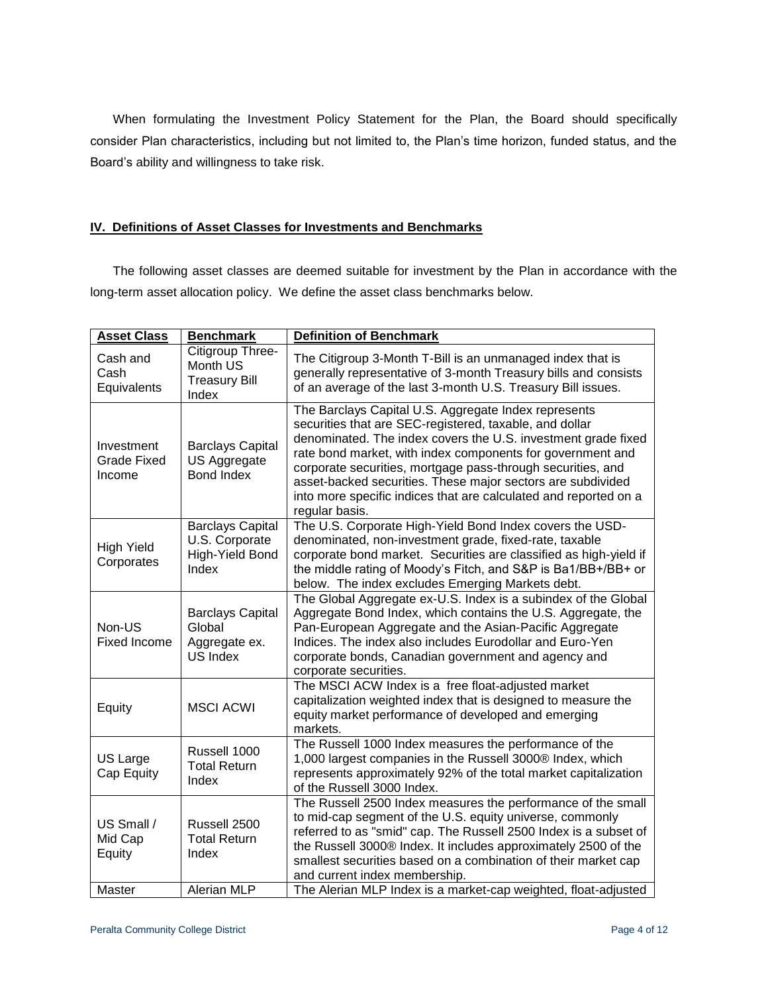When formulating the Investment Policy Statement for the Plan, the Board should specifically consider Plan characteristics, including but not limited to, the Plan's time horizon, funded status, and the Board's ability and willingness to take risk.

## **IV. Definitions of Asset Classes for Investments and Benchmarks**

The following asset classes are deemed suitable for investment by the Plan in accordance with the long-term asset allocation policy. We define the asset class benchmarks below.

| <b>Asset Class</b>                         | <b>Benchmark</b>                                                      | <b>Definition of Benchmark</b>                                                                                                                                                                                                                                                                                                                                                                                                                                     |  |  |  |
|--------------------------------------------|-----------------------------------------------------------------------|--------------------------------------------------------------------------------------------------------------------------------------------------------------------------------------------------------------------------------------------------------------------------------------------------------------------------------------------------------------------------------------------------------------------------------------------------------------------|--|--|--|
| Cash and<br>Cash<br>Equivalents            | Citigroup Three-<br>Month US<br><b>Treasury Bill</b><br>Index         | The Citigroup 3-Month T-Bill is an unmanaged index that is<br>generally representative of 3-month Treasury bills and consists<br>of an average of the last 3-month U.S. Treasury Bill issues.                                                                                                                                                                                                                                                                      |  |  |  |
| Investment<br><b>Grade Fixed</b><br>Income | <b>Barclays Capital</b><br>US Aggregate<br><b>Bond Index</b>          | The Barclays Capital U.S. Aggregate Index represents<br>securities that are SEC-registered, taxable, and dollar<br>denominated. The index covers the U.S. investment grade fixed<br>rate bond market, with index components for government and<br>corporate securities, mortgage pass-through securities, and<br>asset-backed securities. These major sectors are subdivided<br>into more specific indices that are calculated and reported on a<br>regular basis. |  |  |  |
| High Yield<br>Corporates                   | <b>Barclays Capital</b><br>U.S. Corporate<br>High-Yield Bond<br>Index | The U.S. Corporate High-Yield Bond Index covers the USD-<br>denominated, non-investment grade, fixed-rate, taxable<br>corporate bond market. Securities are classified as high-yield if<br>the middle rating of Moody's Fitch, and S&P is Ba1/BB+/BB+ or<br>below. The index excludes Emerging Markets debt.                                                                                                                                                       |  |  |  |
| Non-US<br>Fixed Income                     | <b>Barclays Capital</b><br>Global<br>Aggregate ex.<br><b>US Index</b> | The Global Aggregate ex-U.S. Index is a subindex of the Global<br>Aggregate Bond Index, which contains the U.S. Aggregate, the<br>Pan-European Aggregate and the Asian-Pacific Aggregate<br>Indices. The index also includes Eurodollar and Euro-Yen<br>corporate bonds, Canadian government and agency and<br>corporate securities.                                                                                                                               |  |  |  |
| Equity                                     | <b>MSCI ACWI</b>                                                      | The MSCI ACW Index is a free float-adjusted market<br>capitalization weighted index that is designed to measure the<br>equity market performance of developed and emerging<br>markets.                                                                                                                                                                                                                                                                             |  |  |  |
| US Large<br>Cap Equity                     | Russell 1000<br><b>Total Return</b><br>Index                          | The Russell 1000 Index measures the performance of the<br>1,000 largest companies in the Russell 3000® Index, which<br>represents approximately 92% of the total market capitalization<br>of the Russell 3000 Index.                                                                                                                                                                                                                                               |  |  |  |
| US Small /<br>Mid Cap<br>Equity            | Russell 2500<br><b>Total Return</b><br>Index                          | The Russell 2500 Index measures the performance of the small<br>to mid-cap segment of the U.S. equity universe, commonly<br>referred to as "smid" cap. The Russell 2500 Index is a subset of<br>the Russell 3000® Index. It includes approximately 2500 of the<br>smallest securities based on a combination of their market cap<br>and current index membership.                                                                                                  |  |  |  |
| Master                                     | <b>Alerian MLP</b>                                                    | The Alerian MLP Index is a market-cap weighted, float-adjusted                                                                                                                                                                                                                                                                                                                                                                                                     |  |  |  |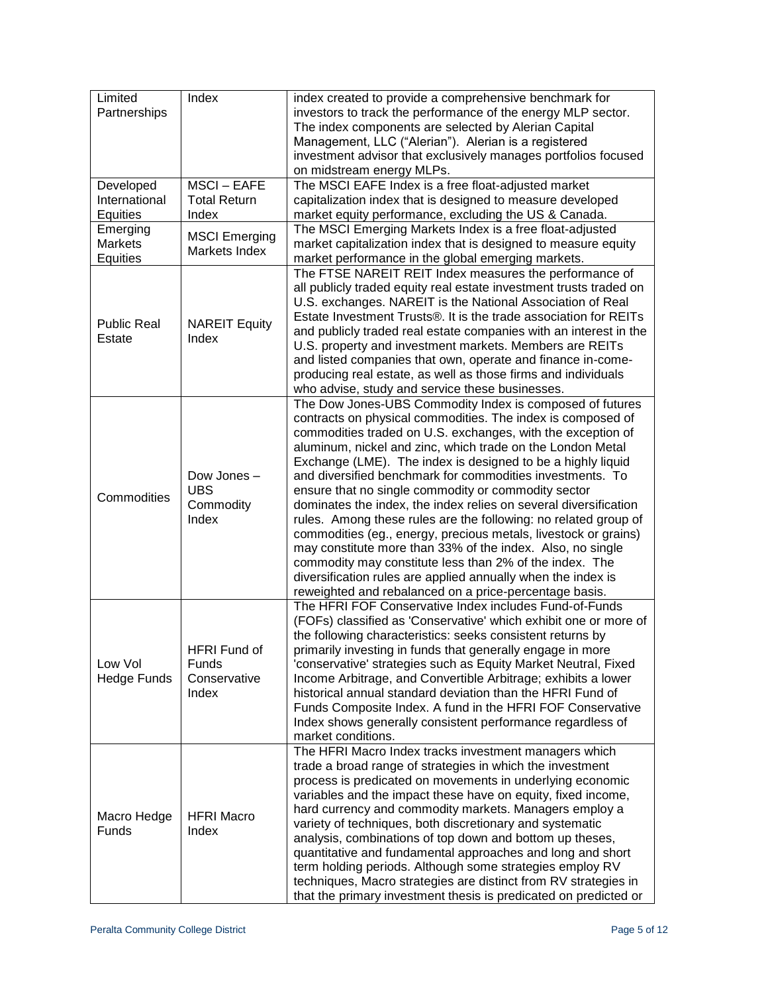| Limited<br>Partnerships                | Index                                              | index created to provide a comprehensive benchmark for<br>investors to track the performance of the energy MLP sector.<br>The index components are selected by Alerian Capital<br>Management, LLC ("Alerian"). Alerian is a registered<br>investment advisor that exclusively manages portfolios focused                                                                                                                                                                                                                                                                                                                                                                                                                                                                                                                                                                                             |  |  |  |
|----------------------------------------|----------------------------------------------------|------------------------------------------------------------------------------------------------------------------------------------------------------------------------------------------------------------------------------------------------------------------------------------------------------------------------------------------------------------------------------------------------------------------------------------------------------------------------------------------------------------------------------------------------------------------------------------------------------------------------------------------------------------------------------------------------------------------------------------------------------------------------------------------------------------------------------------------------------------------------------------------------------|--|--|--|
| Developed<br>International<br>Equities | <b>MSCI - EAFE</b><br><b>Total Return</b><br>Index | on midstream energy MLPs.<br>The MSCI EAFE Index is a free float-adjusted market<br>capitalization index that is designed to measure developed<br>market equity performance, excluding the US & Canada.                                                                                                                                                                                                                                                                                                                                                                                                                                                                                                                                                                                                                                                                                              |  |  |  |
| Emerging<br><b>Markets</b><br>Equities | <b>MSCI Emerging</b><br>Markets Index              | The MSCI Emerging Markets Index is a free float-adjusted<br>market capitalization index that is designed to measure equity<br>market performance in the global emerging markets.                                                                                                                                                                                                                                                                                                                                                                                                                                                                                                                                                                                                                                                                                                                     |  |  |  |
| <b>Public Real</b><br>Estate           | <b>NAREIT Equity</b><br>Index                      | The FTSE NAREIT REIT Index measures the performance of<br>all publicly traded equity real estate investment trusts traded on<br>U.S. exchanges. NAREIT is the National Association of Real<br>Estate Investment Trusts®. It is the trade association for REITs<br>and publicly traded real estate companies with an interest in the<br>U.S. property and investment markets. Members are REITs<br>and listed companies that own, operate and finance in-come-<br>producing real estate, as well as those firms and individuals<br>who advise, study and service these businesses.                                                                                                                                                                                                                                                                                                                    |  |  |  |
| Commodities                            | Dow Jones -<br><b>UBS</b><br>Commodity<br>Index    | The Dow Jones-UBS Commodity Index is composed of futures<br>contracts on physical commodities. The index is composed of<br>commodities traded on U.S. exchanges, with the exception of<br>aluminum, nickel and zinc, which trade on the London Metal<br>Exchange (LME). The index is designed to be a highly liquid<br>and diversified benchmark for commodities investments. To<br>ensure that no single commodity or commodity sector<br>dominates the index, the index relies on several diversification<br>rules. Among these rules are the following: no related group of<br>commodities (eg., energy, precious metals, livestock or grains)<br>may constitute more than 33% of the index. Also, no single<br>commodity may constitute less than 2% of the index. The<br>diversification rules are applied annually when the index is<br>reweighted and rebalanced on a price-percentage basis. |  |  |  |
| Low Vol<br><b>Hedge Funds</b>          | HFRI Fund of<br>Funds<br>Conservative<br>Index     | The HFRI FOF Conservative Index includes Fund-of-Funds<br>(FOFs) classified as 'Conservative' which exhibit one or more of<br>the following characteristics: seeks consistent returns by<br>primarily investing in funds that generally engage in more<br>'conservative' strategies such as Equity Market Neutral, Fixed<br>Income Arbitrage, and Convertible Arbitrage; exhibits a lower<br>historical annual standard deviation than the HFRI Fund of<br>Funds Composite Index. A fund in the HFRI FOF Conservative<br>Index shows generally consistent performance regardless of<br>market conditions.                                                                                                                                                                                                                                                                                            |  |  |  |
| Macro Hedge<br>Funds                   | <b>HFRI Macro</b><br>Index                         | The HFRI Macro Index tracks investment managers which<br>trade a broad range of strategies in which the investment<br>process is predicated on movements in underlying economic<br>variables and the impact these have on equity, fixed income,<br>hard currency and commodity markets. Managers employ a<br>variety of techniques, both discretionary and systematic<br>analysis, combinations of top down and bottom up theses,<br>quantitative and fundamental approaches and long and short<br>term holding periods. Although some strategies employ RV<br>techniques, Macro strategies are distinct from RV strategies in<br>that the primary investment thesis is predicated on predicted or                                                                                                                                                                                                   |  |  |  |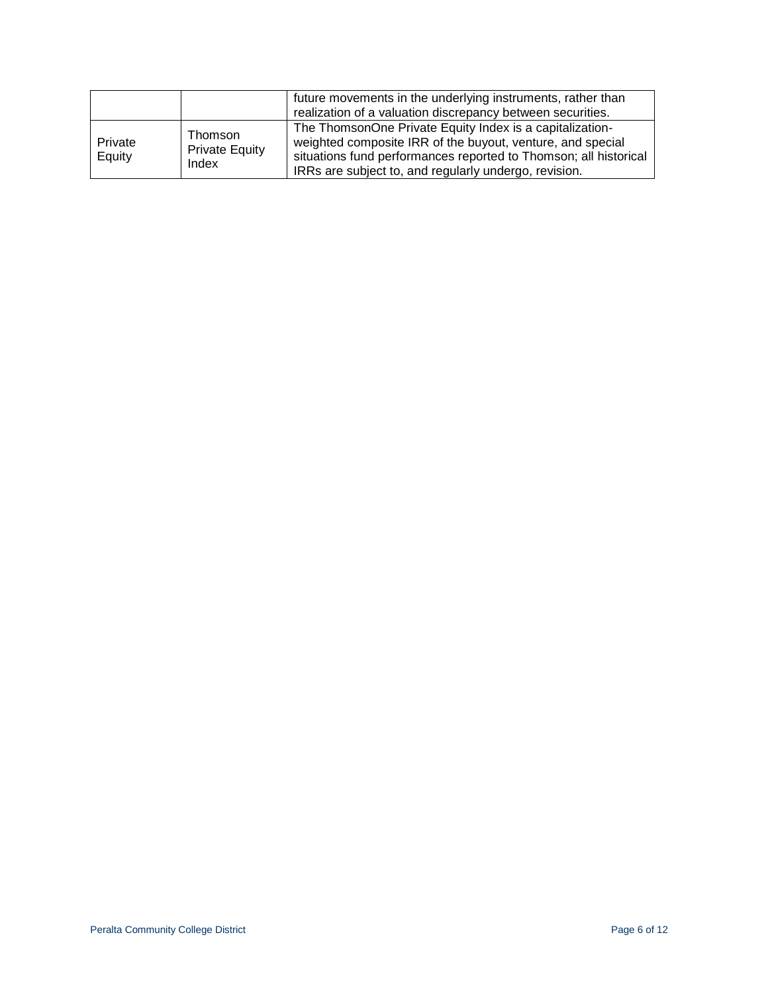|                   |                                           | future movements in the underlying instruments, rather than<br>realization of a valuation discrepancy between securities.                                                                                                                           |
|-------------------|-------------------------------------------|-----------------------------------------------------------------------------------------------------------------------------------------------------------------------------------------------------------------------------------------------------|
| Private<br>Equity | Thomson<br><b>Private Equity</b><br>Index | The ThomsonOne Private Equity Index is a capitalization-<br>weighted composite IRR of the buyout, venture, and special<br>situations fund performances reported to Thomson; all historical<br>IRRs are subject to, and regularly undergo, revision. |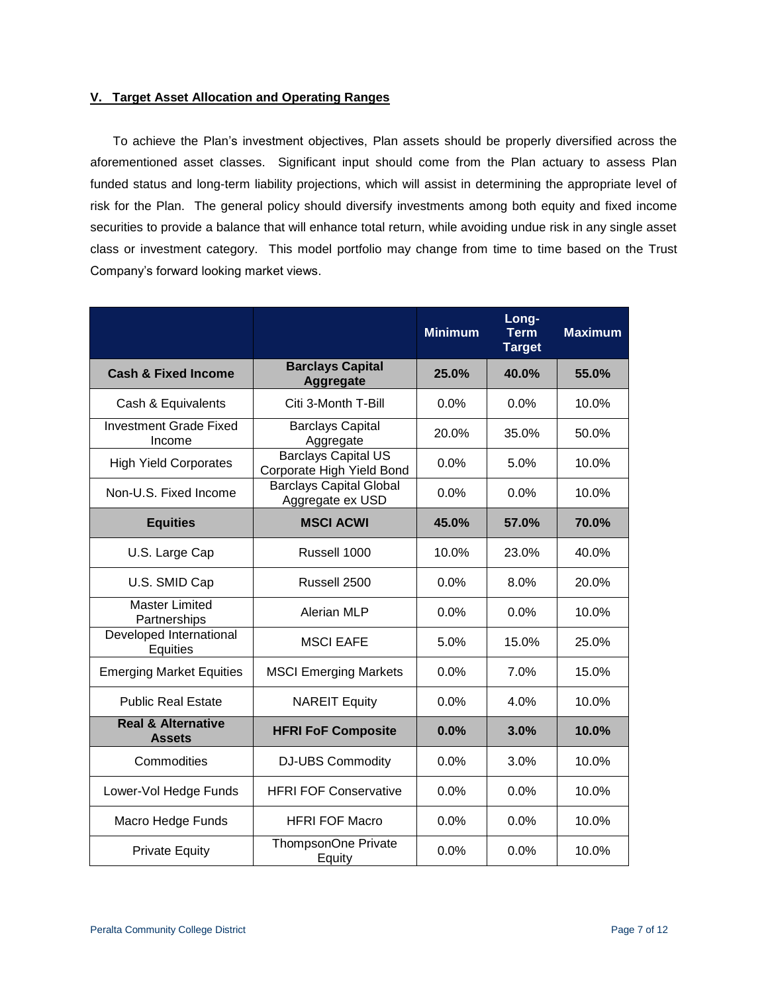## **V. Target Asset Allocation and Operating Ranges**

To achieve the Plan's investment objectives, Plan assets should be properly diversified across the aforementioned asset classes. Significant input should come from the Plan actuary to assess Plan funded status and long-term liability projections, which will assist in determining the appropriate level of risk for the Plan. The general policy should diversify investments among both equity and fixed income securities to provide a balance that will enhance total return, while avoiding undue risk in any single asset class or investment category. This model portfolio may change from time to time based on the Trust Company's forward looking market views.

|                                                |                                                         | <b>Minimum</b> | Long-<br><b>Term</b><br><b>Target</b> | <b>Maximum</b> |
|------------------------------------------------|---------------------------------------------------------|----------------|---------------------------------------|----------------|
| <b>Cash &amp; Fixed Income</b>                 | <b>Barclays Capital</b><br>Aggregate                    | 25.0%          | 40.0%                                 | 55.0%          |
| Cash & Equivalents                             | Citi 3-Month T-Bill                                     | 0.0%           | 0.0%                                  | 10.0%          |
| <b>Investment Grade Fixed</b><br>Income        | <b>Barclays Capital</b><br>Aggregate                    | 20.0%          | 35.0%                                 | 50.0%          |
| <b>High Yield Corporates</b>                   | <b>Barclays Capital US</b><br>Corporate High Yield Bond | 0.0%           | 5.0%                                  | 10.0%          |
| Non-U.S. Fixed Income                          | <b>Barclays Capital Global</b><br>Aggregate ex USD      | 0.0%           | 0.0%                                  | 10.0%          |
| <b>Equities</b>                                | <b>MSCI ACWI</b>                                        | 45.0%          | 57.0%                                 | 70.0%          |
| U.S. Large Cap                                 | Russell 1000                                            | 10.0%          | 23.0%                                 | 40.0%          |
| U.S. SMID Cap                                  | Russell 2500                                            | $0.0\%$        | 8.0%                                  | 20.0%          |
| <b>Master Limited</b><br>Partnerships          | Alerian MLP                                             | 0.0%           | 0.0%                                  | 10.0%          |
| Developed International<br>Equities            | <b>MSCI EAFE</b>                                        | 5.0%           | 15.0%                                 | 25.0%          |
| <b>Emerging Market Equities</b>                | <b>MSCI Emerging Markets</b>                            | 0.0%           | 7.0%                                  | 15.0%          |
| <b>Public Real Estate</b>                      | <b>NAREIT Equity</b>                                    | 0.0%           | 4.0%                                  | 10.0%          |
| <b>Real &amp; Alternative</b><br><b>Assets</b> | <b>HFRI FoF Composite</b>                               | 0.0%           | 3.0%                                  | 10.0%          |
| Commodities                                    | <b>DJ-UBS Commodity</b>                                 | 0.0%           | 3.0%                                  | 10.0%          |
| Lower-Vol Hedge Funds                          | <b>HFRI FOF Conservative</b>                            | 0.0%           | 0.0%                                  | 10.0%          |
| Macro Hedge Funds                              | <b>HFRI FOF Macro</b>                                   | 0.0%           | 0.0%                                  | 10.0%          |
| <b>Private Equity</b>                          | ThompsonOne Private<br>Equity                           | 0.0%           | 0.0%                                  | 10.0%          |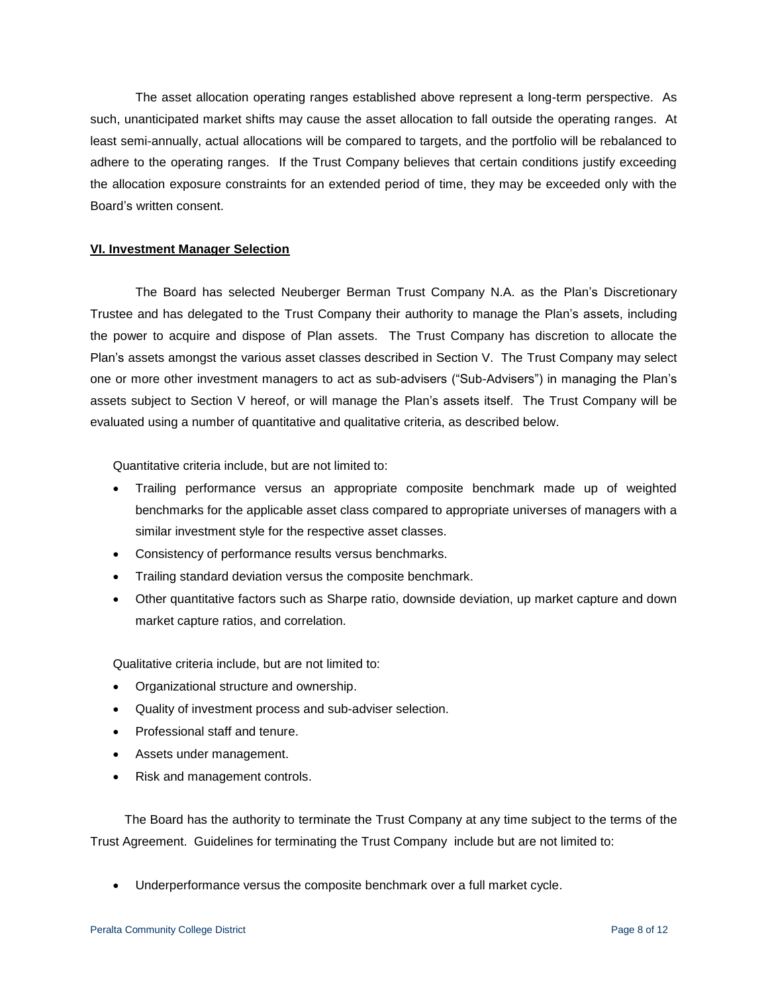The asset allocation operating ranges established above represent a long-term perspective. As such, unanticipated market shifts may cause the asset allocation to fall outside the operating ranges. At least semi-annually, actual allocations will be compared to targets, and the portfolio will be rebalanced to adhere to the operating ranges. If the Trust Company believes that certain conditions justify exceeding the allocation exposure constraints for an extended period of time, they may be exceeded only with the Board's written consent.

#### **VI. Investment Manager Selection**

The Board has selected Neuberger Berman Trust Company N.A. as the Plan's Discretionary Trustee and has delegated to the Trust Company their authority to manage the Plan's assets, including the power to acquire and dispose of Plan assets. The Trust Company has discretion to allocate the Plan's assets amongst the various asset classes described in Section V. The Trust Company may select one or more other investment managers to act as sub-advisers ("Sub-Advisers") in managing the Plan's assets subject to Section V hereof, or will manage the Plan's assets itself. The Trust Company will be evaluated using a number of quantitative and qualitative criteria, as described below.

Quantitative criteria include, but are not limited to:

- Trailing performance versus an appropriate composite benchmark made up of weighted benchmarks for the applicable asset class compared to appropriate universes of managers with a similar investment style for the respective asset classes.
- Consistency of performance results versus benchmarks.
- Trailing standard deviation versus the composite benchmark.
- Other quantitative factors such as Sharpe ratio, downside deviation, up market capture and down market capture ratios, and correlation.

Qualitative criteria include, but are not limited to:

- Organizational structure and ownership.
- Quality of investment process and sub-adviser selection.
- Professional staff and tenure.
- Assets under management.
- Risk and management controls.

The Board has the authority to terminate the Trust Company at any time subject to the terms of the Trust Agreement. Guidelines for terminating the Trust Company include but are not limited to:

Underperformance versus the composite benchmark over a full market cycle.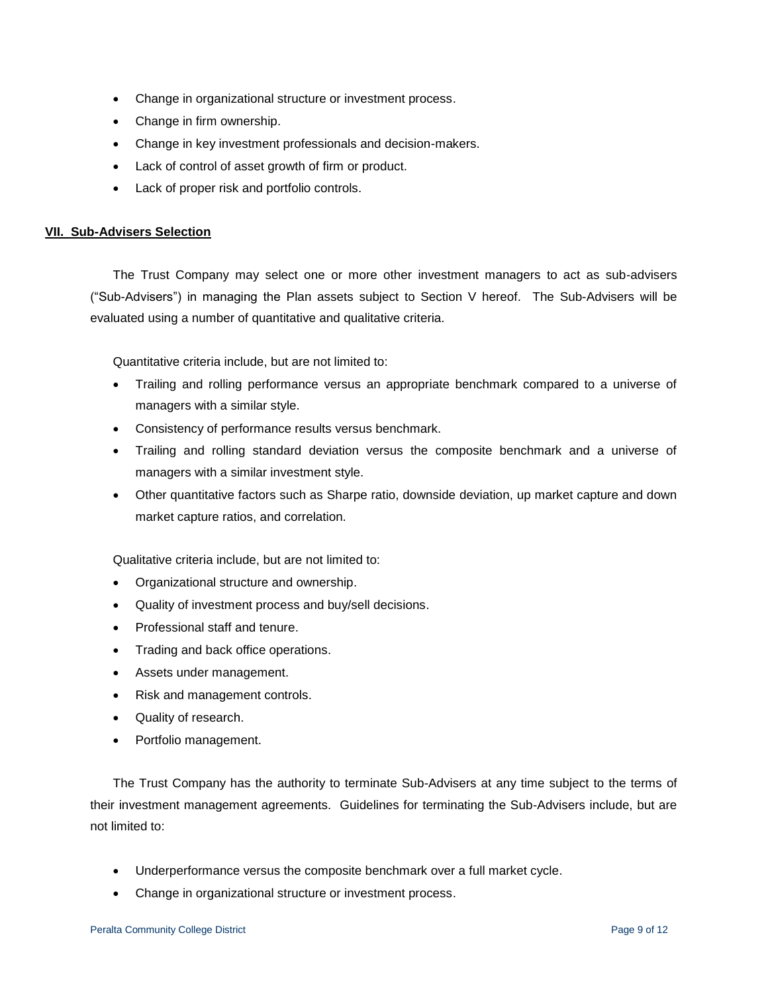- Change in organizational structure or investment process.
- Change in firm ownership.
- Change in key investment professionals and decision-makers.
- Lack of control of asset growth of firm or product.
- Lack of proper risk and portfolio controls.

#### **VII. Sub-Advisers Selection**

The Trust Company may select one or more other investment managers to act as sub-advisers ("Sub-Advisers") in managing the Plan assets subject to Section V hereof. The Sub-Advisers will be evaluated using a number of quantitative and qualitative criteria.

Quantitative criteria include, but are not limited to:

- Trailing and rolling performance versus an appropriate benchmark compared to a universe of managers with a similar style.
- Consistency of performance results versus benchmark.
- Trailing and rolling standard deviation versus the composite benchmark and a universe of managers with a similar investment style.
- Other quantitative factors such as Sharpe ratio, downside deviation, up market capture and down market capture ratios, and correlation.

Qualitative criteria include, but are not limited to:

- Organizational structure and ownership.
- Quality of investment process and buy/sell decisions.
- Professional staff and tenure.
- Trading and back office operations.
- Assets under management.
- Risk and management controls.
- Quality of research.
- Portfolio management.

The Trust Company has the authority to terminate Sub-Advisers at any time subject to the terms of their investment management agreements. Guidelines for terminating the Sub-Advisers include, but are not limited to:

- Underperformance versus the composite benchmark over a full market cycle.
- Change in organizational structure or investment process.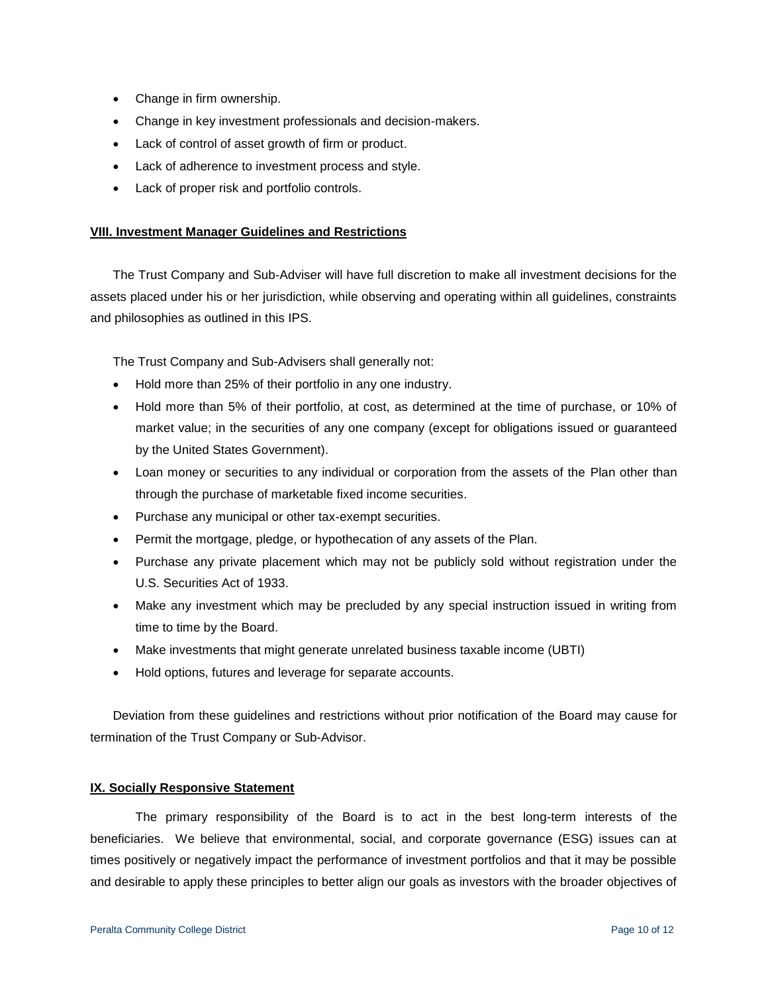- Change in firm ownership.
- Change in key investment professionals and decision-makers.
- Lack of control of asset growth of firm or product.
- Lack of adherence to investment process and style.
- Lack of proper risk and portfolio controls.

#### **VIII. Investment Manager Guidelines and Restrictions**

The Trust Company and Sub-Adviser will have full discretion to make all investment decisions for the assets placed under his or her jurisdiction, while observing and operating within all guidelines, constraints and philosophies as outlined in this IPS.

The Trust Company and Sub-Advisers shall generally not:

- Hold more than 25% of their portfolio in any one industry.
- Hold more than 5% of their portfolio, at cost, as determined at the time of purchase, or 10% of market value; in the securities of any one company (except for obligations issued or guaranteed by the United States Government).
- Loan money or securities to any individual or corporation from the assets of the Plan other than through the purchase of marketable fixed income securities.
- Purchase any municipal or other tax-exempt securities.
- Permit the mortgage, pledge, or hypothecation of any assets of the Plan.
- Purchase any private placement which may not be publicly sold without registration under the U.S. Securities Act of 1933.
- Make any investment which may be precluded by any special instruction issued in writing from time to time by the Board.
- Make investments that might generate unrelated business taxable income (UBTI)
- Hold options, futures and leverage for separate accounts.

Deviation from these guidelines and restrictions without prior notification of the Board may cause for termination of the Trust Company or Sub-Advisor.

#### **IX. Socially Responsive Statement**

The primary responsibility of the Board is to act in the best long-term interests of the beneficiaries. We believe that environmental, social, and corporate governance (ESG) issues can at times positively or negatively impact the performance of investment portfolios and that it may be possible and desirable to apply these principles to better align our goals as investors with the broader objectives of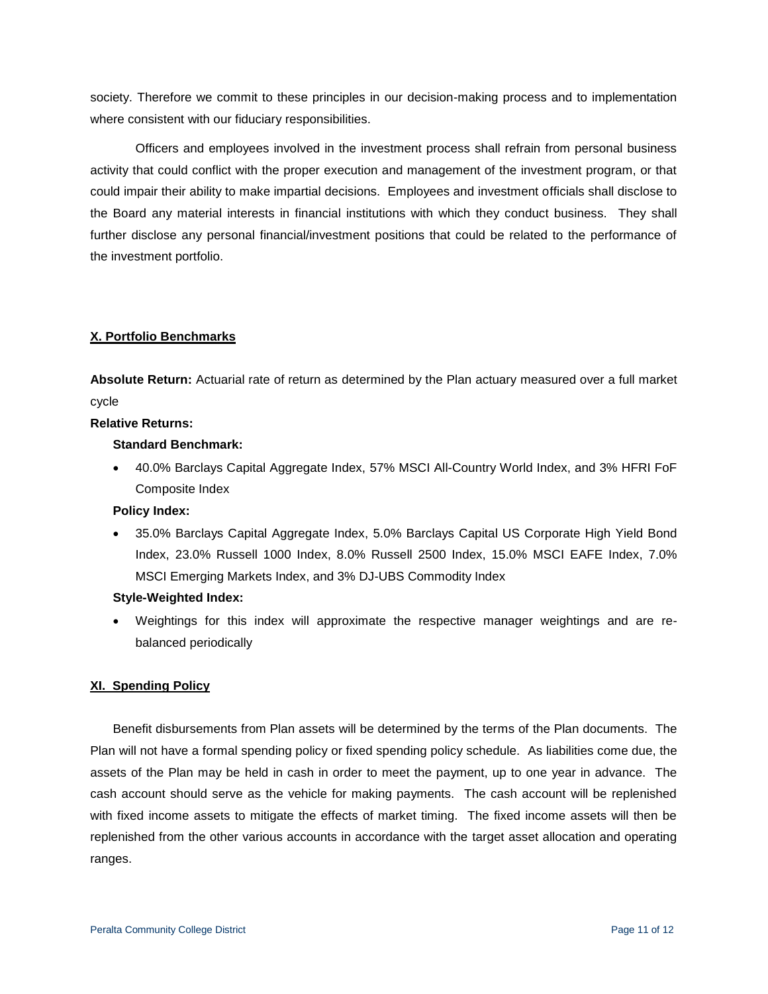society. Therefore we commit to these principles in our decision-making process and to implementation where consistent with our fiduciary responsibilities.

Officers and employees involved in the investment process shall refrain from personal business activity that could conflict with the proper execution and management of the investment program, or that could impair their ability to make impartial decisions. Employees and investment officials shall disclose to the Board any material interests in financial institutions with which they conduct business. They shall further disclose any personal financial/investment positions that could be related to the performance of the investment portfolio.

## **X. Portfolio Benchmarks**

**Absolute Return:** Actuarial rate of return as determined by the Plan actuary measured over a full market cycle

#### **Relative Returns:**

#### **Standard Benchmark:**

 40.0% Barclays Capital Aggregate Index, 57% MSCI All-Country World Index, and 3% HFRI FoF Composite Index

#### **Policy Index:**

 35.0% Barclays Capital Aggregate Index, 5.0% Barclays Capital US Corporate High Yield Bond Index, 23.0% Russell 1000 Index, 8.0% Russell 2500 Index, 15.0% MSCI EAFE Index, 7.0% MSCI Emerging Markets Index, and 3% DJ-UBS Commodity Index

#### **Style-Weighted Index:**

 Weightings for this index will approximate the respective manager weightings and are rebalanced periodically

#### **XI. Spending Policy**

Benefit disbursements from Plan assets will be determined by the terms of the Plan documents. The Plan will not have a formal spending policy or fixed spending policy schedule. As liabilities come due, the assets of the Plan may be held in cash in order to meet the payment, up to one year in advance. The cash account should serve as the vehicle for making payments. The cash account will be replenished with fixed income assets to mitigate the effects of market timing. The fixed income assets will then be replenished from the other various accounts in accordance with the target asset allocation and operating ranges.